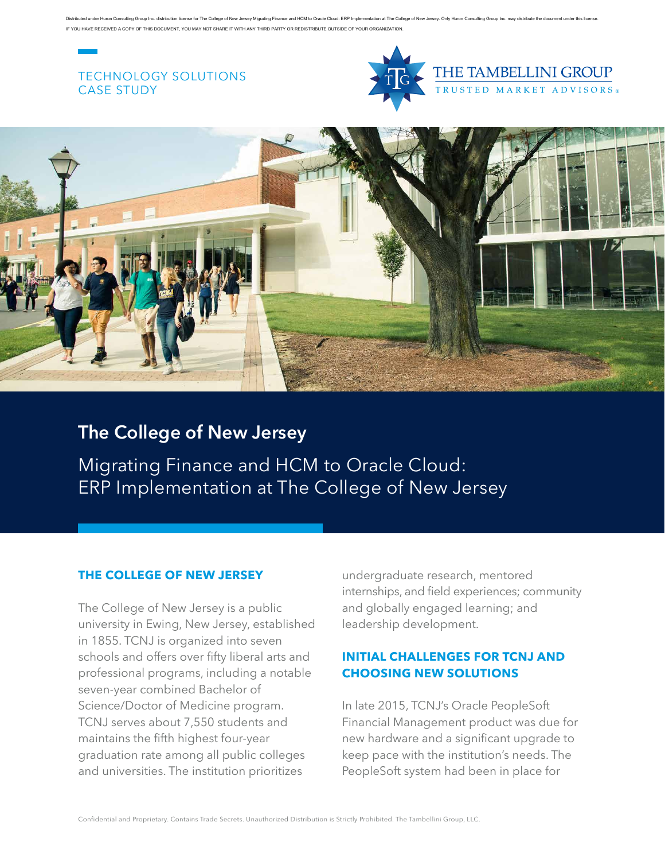Distributed under Huron Consulting Group Inc. distribution license for The College of New Jersey Migrating Finance and HCM to Oracle Cloud: ERP Implementation at The College of New Jersey. Only Huron Consulting Group Inc. YOU HAVE RECEIVED A COPY OF THIS DOCUMENT, YOU MAY NOT SHARE IT WITH ANY THIRD PARTY OR REDISTRIBUTE OUTSIDE OF YOUR ORGANIZATION

## TECHNOLOGY SOLUTIONS CASE STUDY



THE TAMBELLINI GROUP **USTED MARKET ADVISORS** 



# **The College of New Jersey**

Migrating Finance and HCM to Oracle Cloud: ERP Implementation at The College of New Jersey

### **THE COLLEGE OF NEW JERSEY**

The College of New Jersey is a public university in Ewing, New Jersey, established in 1855. TCNJ is organized into seven schools and offers over fifty liberal arts and professional programs, including a notable seven-year combined Bachelor of Science/Doctor of Medicine program. TCNJ serves about 7,550 students and maintains the fifth highest four-year graduation rate among all public colleges and universities. The institution prioritizes

undergraduate research, mentored internships, and field experiences; community and globally engaged learning; and leadership development.

## **INITIAL CHALLENGES FOR TCNJ AND CHOOSING NEW SOLUTIONS**

In late 2015, TCNJ's Oracle PeopleSoft Financial Management product was due for new hardware and a significant upgrade to keep pace with the institution's needs. The PeopleSoft system had been in place for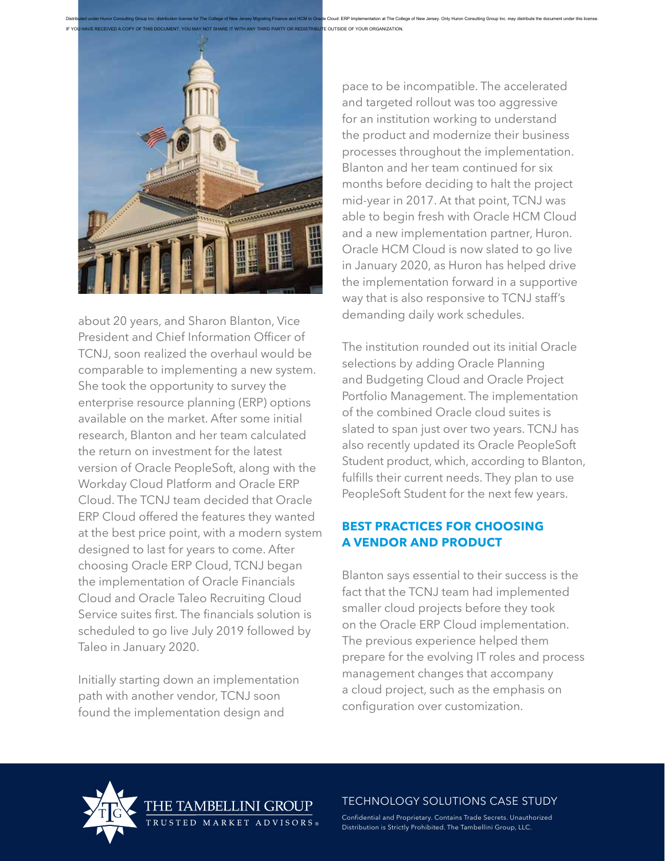

about 20 years, and Sharon Blanton, Vice President and Chief Information Officer of TCNJ, soon realized the overhaul would be comparable to implementing a new system. She took the opportunity to survey the enterprise resource planning (ERP) options available on the market. After some initial research, Blanton and her team calculated the return on investment for the latest version of Oracle PeopleSoft, along with the Workday Cloud Platform and Oracle ERP Cloud. The TCNJ team decided that Oracle ERP Cloud offered the features they wanted at the best price point, with a modern system designed to last for years to come. After choosing Oracle ERP Cloud, TCNJ began the implementation of Oracle Financials Cloud and Oracle Taleo Recruiting Cloud Service suites first. The financials solution is scheduled to go live July 2019 followed by Taleo in January 2020.

Initially starting down an implementation path with another vendor, TCNJ soon found the implementation design and

pace to be incompatible. The accelerated and targeted rollout was too aggressive for an institution working to understand the product and modernize their business processes throughout the implementation. Blanton and her team continued for six months before deciding to halt the project mid-year in 2017. At that point, TCNJ was able to begin fresh with Oracle HCM Cloud and a new implementation partner, Huron. Oracle HCM Cloud is now slated to go live in January 2020, as Huron has helped drive the implementation forward in a supportive way that is also responsive to TCNJ staff's demanding daily work schedules.

The institution rounded out its initial Oracle selections by adding Oracle Planning and Budgeting Cloud and Oracle Project Portfolio Management. The implementation of the combined Oracle cloud suites is slated to span just over two years. TCNJ has also recently updated its Oracle PeopleSoft Student product, which, according to Blanton, fulfills their current needs. They plan to use PeopleSoft Student for the next few years.

## **BEST PRACTICES FOR CHOOSING A VENDOR AND PRODUCT**

Blanton says essential to their success is the fact that the TCNJ team had implemented smaller cloud projects before they took on the Oracle ERP Cloud implementation. The previous experience helped them prepare for the evolving IT roles and process management changes that accompany a cloud project, such as the emphasis on configuration over customization.



TECHNOLOGY SOLUTIONS CASE STUDY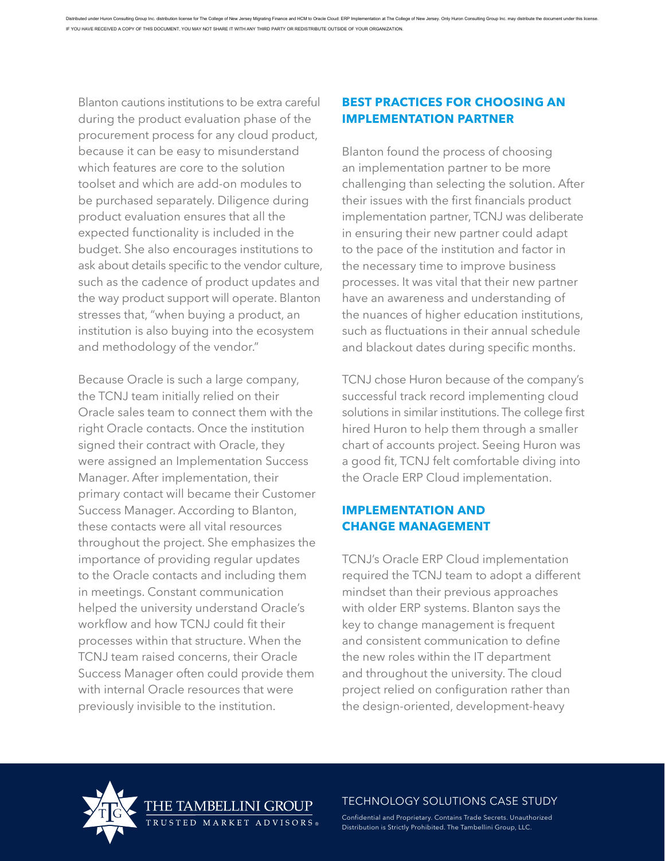Blanton cautions institutions to be extra careful during the product evaluation phase of the procurement process for any cloud product, because it can be easy to misunderstand which features are core to the solution toolset and which are add-on modules to be purchased separately. Diligence during product evaluation ensures that all the expected functionality is included in the budget. She also encourages institutions to ask about details specific to the vendor culture, such as the cadence of product updates and the way product support will operate. Blanton stresses that, "when buying a product, an institution is also buying into the ecosystem and methodology of the vendor."

Because Oracle is such a large company, the TCNJ team initially relied on their Oracle sales team to connect them with the right Oracle contacts. Once the institution signed their contract with Oracle, they were assigned an Implementation Success Manager. After implementation, their primary contact will became their Customer Success Manager. According to Blanton, these contacts were all vital resources throughout the project. She emphasizes the importance of providing regular updates to the Oracle contacts and including them in meetings. Constant communication helped the university understand Oracle's workflow and how TCNJ could fit their processes within that structure. When the TCNJ team raised concerns, their Oracle Success Manager often could provide them with internal Oracle resources that were previously invisible to the institution.

## **BEST PRACTICES FOR CHOOSING AN IMPLEMENTATION PARTNER**

Blanton found the process of choosing an implementation partner to be more challenging than selecting the solution. After their issues with the first financials product implementation partner, TCNJ was deliberate in ensuring their new partner could adapt to the pace of the institution and factor in the necessary time to improve business processes. It was vital that their new partner have an awareness and understanding of the nuances of higher education institutions, such as fluctuations in their annual schedule and blackout dates during specific months.

TCNJ chose Huron because of the company's successful track record implementing cloud solutions in similar institutions. The college first hired Huron to help them through a smaller chart of accounts project. Seeing Huron was a good fit, TCNJ felt comfortable diving into the Oracle ERP Cloud implementation.

## **IMPLEMENTATION AND CHANGE MANAGEMENT**

TCNJ's Oracle ERP Cloud implementation required the TCNJ team to adopt a different mindset than their previous approaches with older ERP systems. Blanton says the key to change management is frequent and consistent communication to define the new roles within the IT department and throughout the university. The cloud project relied on configuration rather than the design-oriented, development-heavy



### TECHNOLOGY SOLUTIONS CASE STUDY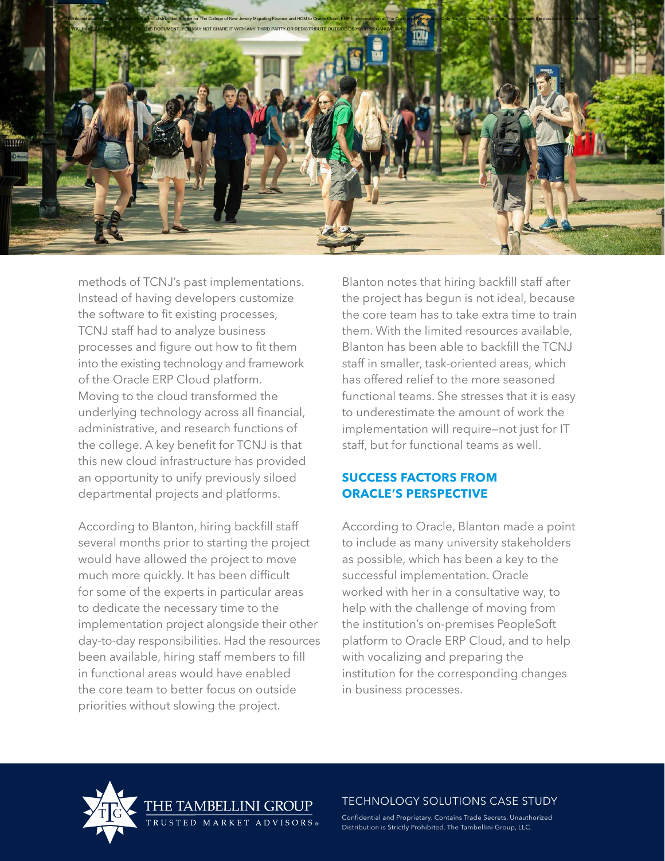

methods of TCNJ's past implementations. Instead of having developers customize the software to fit existing processes, TCNJ staff had to analyze business processes and figure out how to fit them into the existing technology and framework of the Oracle ERP Cloud platform. Moving to the cloud transformed the underlying technology across all financial, administrative, and research functions of the college. A key benefit for TCNJ is that this new cloud infrastructure has provided an opportunity to unify previously siloed departmental projects and platforms.

According to Blanton, hiring backfill staff several months prior to starting the project would have allowed the project to move much more quickly. It has been difficult for some of the experts in particular areas to dedicate the necessary time to the implementation project alongside their other day-to-day responsibilities. Had the resources been available, hiring staff members to fill in functional areas would have enabled the core team to better focus on outside priorities without slowing the project.

 $ADVISORS$ 

Blanton notes that hiring backfill staff after the project has begun is not ideal, because the core team has to take extra time to train them. With the limited resources available, Blanton has been able to backfill the TCNJ staff in smaller, task-oriented areas, which has offered relief to the more seasoned functional teams. She stresses that it is easy to underestimate the amount of work the implementation will require—not just for IT staff, but for functional teams as well.

## **SUCCESS FACTORS FROM ORACLE'S PERSPECTIVE**

According to Oracle, Blanton made a point to include as many university stakeholders as possible, which has been a key to the successful implementation. Oracle worked with her in a consultative way, to help with the challenge of moving from the institution's on-premises PeopleSoft platform to Oracle ERP Cloud, and to help with vocalizing and preparing the institution for the corresponding changes in business processes.



### TECHNOLOGY SOLUTIONS CASE STUDY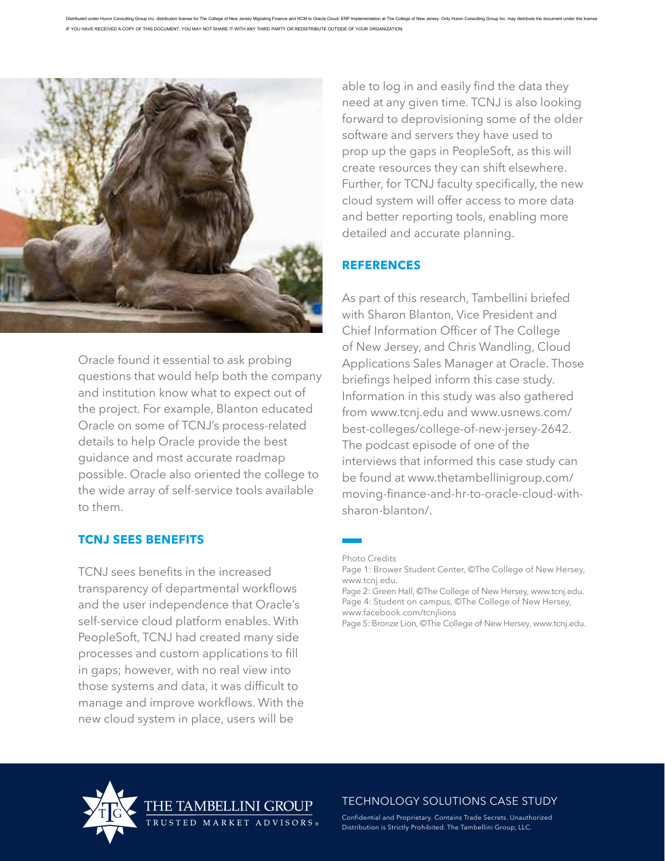

Oracle found it essential to ask probing questions that would help both the company and institution know what to expect out of the project. For example, Blanton educated Oracle on some of TCNJ's process-related details to help Oracle provide the best guidance and most accurate roadmap possible. Oracle also oriented the college to the wide array of self-service tools available to them.

### **TCNJ SEES BENEFITS**

TCNJ sees benefits in the increased transparency of departmental workflows and the user independence that Oracle's self-service cloud platform enables. With PeopleSoft, TCNJ had created many side processes and custom applications to fill in gaps; however, with no real view into those systems and data, it was difficult to manage and improve workflows. With the new cloud system in place, users will be

 $A D V I S O R S$ 

able to log in and easily find the data they need at any given time. TCNJ is also looking forward to deprovisioning some of the older software and servers they have used to prop up the gaps in PeopleSoft, as this will create resources they can shift elsewhere. Further, for TCNJ faculty specifically, the new cloud system will offer access to more data and better reporting tools, enabling more detailed and accurate planning.

### **REFERENCES**

As part of this research, Tambellini briefed with Sharon Blanton, Vice President and Chief Information Officer of The College of New Jersey, and Chris Wandling, Cloud Applications Sales Manager at Oracle. Those briefings helped inform this case study. Information in this study was also gathered from www.tcnj.edu and www.usnews.com/ best-colleges/college-of-new-jersey-2642. The podcast episode of one of the interviews that informed this case study can be found at www.thetambellinigroup.com/ moving-finance-and-hr-to-oracle-cloud-withsharon-blanton/.

Photo Credits

Page 2: Green Hall, ©The College of New Hersey, www.tcnj.edu. Page 4: Student on campus, ©The College of New Hersey, www.facebook.com/tcnjlions

Page 5: Bronze Lion, ©The College of New Hersey, www.tcnj.edu.



TECHNOLOGY SOLUTIONS CASE STUDY

Page 1: Brower Student Center, ©The College of New Hersey, www.tcnj.edu.